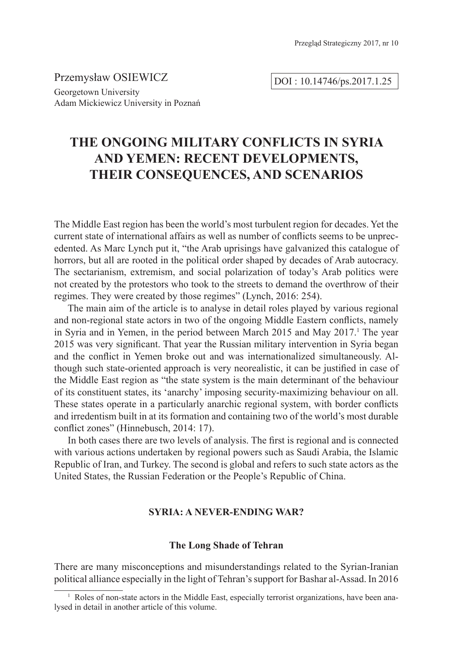Przemysław OSIEWICZ Georgetown University Adam Mickiewicz University in Poznań

DOI : 10.14746/ps.2017.1.25

# **THE ONGOING MILITARY CONFLICTS IN SYRIA AND YEMEN: RECENT DEVELOPMENTS, THEIR CONSEQUENCES, AND SCENARIOS**

The Middle East region has been the world's most turbulent region for decades. Yet the current state of international affairs as well as number of conflicts seems to be unprecedented. As Marc Lynch put it, "the Arab uprisings have galvanized this catalogue of horrors, but all are rooted in the political order shaped by decades of Arab autocracy. The sectarianism, extremism, and social polarization of today's Arab politics were not created by the protestors who took to the streets to demand the overthrow of their regimes. They were created by those regimes" (Lynch, 2016: 254).

The main aim of the article is to analyse in detail roles played by various regional and non-regional state actors in two of the ongoing Middle Eastern conflicts, namely in Syria and in Yemen, in the period between March 2015 and May 2017.<sup>1</sup> The year 2015 was very significant. That year the Russian military intervention in Syria began and the conflict in Yemen broke out and was internationalized simultaneously. Although such state-oriented approach is very neorealistic, it can be justified in case of the Middle East region as "the state system is the main determinant of the behaviour of its constituent states, its 'anarchy' imposing security-maximizing behaviour on all. These states operate in a particularly anarchic regional system, with border conflicts and irredentism built in at its formation and containing two of the world's most durable conflict zones" (Hinnebusch, 2014: 17).

In both cases there are two levels of analysis. The first is regional and is connected with various actions undertaken by regional powers such as Saudi Arabia, the Islamic Republic of Iran, and Turkey. The second is global and refers to such state actors as the United States, the Russian Federation or the People's Republic of China.

# **SYRIA: A NEVER-ENDING WAR?**

# **The Long Shade of Tehran**

There are many misconceptions and misunderstandings related to the Syrian-Iranian political alliance especially in the light of Tehran's support for Bashar al-Assad. In 2016

<sup>&</sup>lt;sup>1</sup> Roles of non-state actors in the Middle East, especially terrorist organizations, have been analysed in detail in another article of this volume.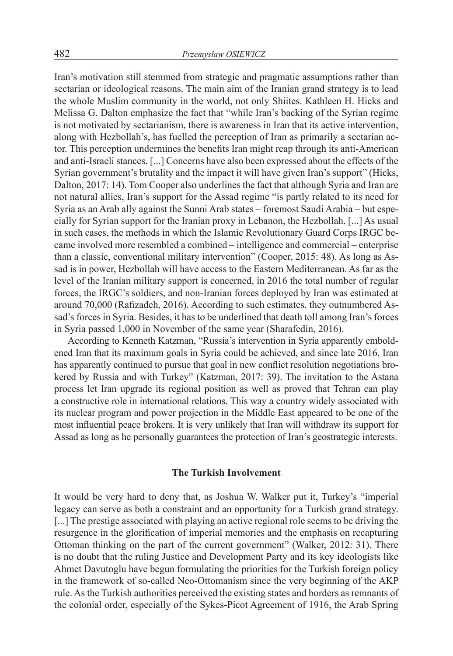Iran's motivation still stemmed from strategic and pragmatic assumptions rather than sectarian or ideological reasons. The main aim of the Iranian grand strategy is to lead the whole Muslim community in the world, not only Shiites. Kathleen H. Hicks and Melissa G. Dalton emphasize the fact that "while Iran's backing of the Syrian regime is not motivated by sectarianism, there is awareness in Iran that its active intervention, along with Hezbollah's, has fuelled the perception of Iran as primarily a sectarian actor. This perception undermines the benefits Iran might reap through its anti-American and anti-Israeli stances. [...] Concerns have also been expressed about the effects of the Syrian government's brutality and the impact it will have given Iran's support" (Hicks, Dalton, 2017: 14). Tom Cooper also underlines the fact that although Syria and Iran are not natural allies, Iran's support for the Assad regime "is partly related to its need for Syria as an Arab ally against the Sunni Arab states – foremost Saudi Arabia – but especially for Syrian support for the Iranian proxy in Lebanon, the Hezbollah. [...] As usual in such cases, the methods in which the Islamic Revolutionary Guard Corps IRGC became involved more resembled a combined – intelligence and commercial – enterprise than a classic, conventional military intervention" (Cooper, 2015: 48). As long as Assad is in power, Hezbollah will have access to the Eastern Mediterranean. As far as the level of the Iranian military support is concerned, in 2016 the total number of regular forces, the IRGC's soldiers, and non-Iranian forces deployed by Iran was estimated at around 70,000 (Rafizadeh, 2016). According to such estimates, they outnumbered Assad's forces in Syria. Besides, it has to be underlined that death toll among Iran's forces in Syria passed 1,000 in November of the same year (Sharafedin, 2016).

According to Kenneth Katzman, "Russia's intervention in Syria apparently emboldened Iran that its maximum goals in Syria could be achieved, and since late 2016, Iran has apparently continued to pursue that goal in new conflict resolution negotiations brokered by Russia and with Turkey" (Katzman, 2017: 39). The invitation to the Astana process let Iran upgrade its regional position as well as proved that Tehran can play a constructive role in international relations. This way a country widely associated with its nuclear program and power projection in the Middle East appeared to be one of the most influential peace brokers. It is very unlikely that Iran will withdraw its support for Assad as long as he personally guarantees the protection of Iran's geostrategic interests.

## **The Turkish Involvement**

It would be very hard to deny that, as Joshua W. Walker put it, Turkey's "imperial legacy can serve as both a constraint and an opportunity for a Turkish grand strategy. [...] The prestige associated with playing an active regional role seems to be driving the resurgence in the glorification of imperial memories and the emphasis on recapturing Ottoman thinking on the part of the current government" (Walker, 2012: 31). There is no doubt that the ruling Justice and Development Party and its key ideologists like Ahmet Davutoglu have begun formulating the priorities for the Turkish foreign policy in the framework of so-called Neo-Ottomanism since the very beginning of the AKP rule. As the Turkish authorities perceived the existing states and borders as remnants of the colonial order, especially of the Sykes-Picot Agreement of 1916, the Arab Spring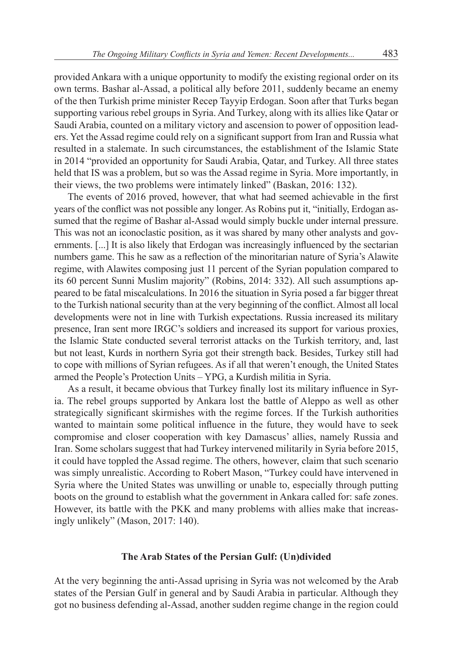provided Ankara with a unique opportunity to modify the existing regional order on its own terms. Bashar al-Assad, a political ally before 2011, suddenly became an enemy of the then Turkish prime minister Recep Tayyip Erdogan. Soon after that Turks began supporting various rebel groups in Syria. And Turkey, along with its allies like Qatar or Saudi Arabia, counted on a military victory and ascension to power of opposition leaders. Yet the Assad regime could rely on a significant support from Iran and Russia what resulted in a stalemate. In such circumstances, the establishment of the Islamic State in 2014 "provided an opportunity for Saudi Arabia, Qatar, and Turkey. All three states held that IS was a problem, but so was the Assad regime in Syria. More importantly, in their views, the two problems were intimately linked" (Baskan, 2016: 132).

The events of 2016 proved, however, that what had seemed achievable in the first years of the conflict was not possible any longer. As Robins put it, "initially, Erdogan assumed that the regime of Bashar al-Assad would simply buckle under internal pressure. This was not an iconoclastic position, as it was shared by many other analysts and governments. [...] It is also likely that Erdogan was increasingly influenced by the sectarian numbers game. This he saw as a reflection of the minoritarian nature of Syria's Alawite regime, with Alawites composing just 11 percent of the Syrian population compared to its 60 percent Sunni Muslim majority" (Robins, 2014: 332). All such assumptions appeared to be fatal miscalculations. In 2016 the situation in Syria posed a far bigger threat to the Turkish national security than at the very beginning of the conflict. Almost all local developments were not in line with Turkish expectations. Russia increased its military presence, Iran sent more IRGC's soldiers and increased its support for various proxies, the Islamic State conducted several terrorist attacks on the Turkish territory, and, last but not least, Kurds in northern Syria got their strength back. Besides, Turkey still had to cope with millions of Syrian refugees. As if all that weren't enough, the United States armed the People's Protection Units – YPG, a Kurdish militia in Syria.

As a result, it became obvious that Turkey finally lost its military influence in Syria. The rebel groups supported by Ankara lost the battle of Aleppo as well as other strategically significant skirmishes with the regime forces. If the Turkish authorities wanted to maintain some political influence in the future, they would have to seek compromise and closer cooperation with key Damascus' allies, namely Russia and Iran. Some scholars suggest that had Turkey intervened militarily in Syria before 2015, it could have toppled the Assad regime. The others, however, claim that such scenario was simply unrealistic. According to Robert Mason, "Turkey could have intervened in Syria where the United States was unwilling or unable to, especially through putting boots on the ground to establish what the government in Ankara called for: safe zones. However, its battle with the PKK and many problems with allies make that increasingly unlikely" (Mason, 2017: 140).

# **The Arab States of the Persian Gulf: (Un)divided**

At the very beginning the anti-Assad uprising in Syria was not welcomed by the Arab states of the Persian Gulf in general and by Saudi Arabia in particular. Although they got no business defending al-Assad, another sudden regime change in the region could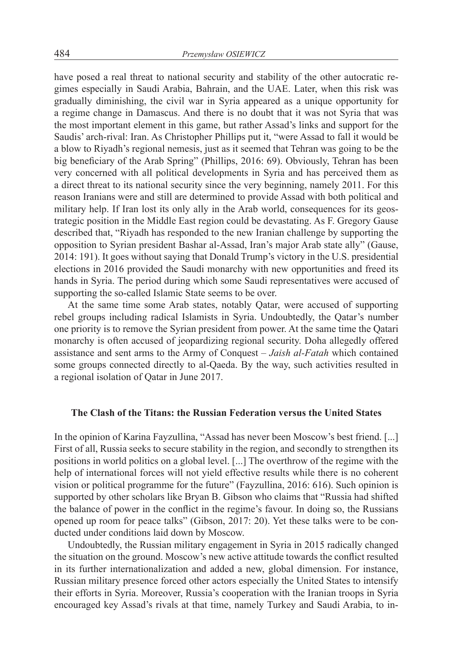have posed a real threat to national security and stability of the other autocratic regimes especially in Saudi Arabia, Bahrain, and the UAE. Later, when this risk was gradually diminishing, the civil war in Syria appeared as a unique opportunity for a regime change in Damascus. And there is no doubt that it was not Syria that was the most important element in this game, but rather Assad's links and support for the Saudis' arch-rival: Iran. As Christopher Phillips put it, "were Assad to fall it would be a blow to Riyadh's regional nemesis, just as it seemed that Tehran was going to be the big beneficiary of the Arab Spring" (Phillips, 2016: 69). Obviously, Tehran has been very concerned with all political developments in Syria and has perceived them as a direct threat to its national security since the very beginning, namely 2011. For this reason Iranians were and still are determined to provide Assad with both political and military help. If Iran lost its only ally in the Arab world, consequences for its geostrategic position in the Middle East region could be devastating. As F. Gregory Gause described that, "Riyadh has responded to the new Iranian challenge by supporting the opposition to Syrian president Bashar al-Assad, Iran's major Arab state ally" (Gause, 2014: 191). It goes without saying that Donald Trump's victory in the U.S. presidential elections in 2016 provided the Saudi monarchy with new opportunities and freed its hands in Syria. The period during which some Saudi representatives were accused of supporting the so-called Islamic State seems to be over.

At the same time some Arab states, notably Qatar, were accused of supporting rebel groups including radical Islamists in Syria. Undoubtedly, the Qatar's number one priority is to remove the Syrian president from power. At the same time the Qatari monarchy is often accused of jeopardizing regional security. Doha allegedly offered assistance and sent arms to the Army of Conquest – *Jaish al-Fatah* which contained some groups connected directly to al-Qaeda. By the way, such activities resulted in a regional isolation of Qatar in June 2017.

# **The Clash of the Titans: the Russian Federation versus the United States**

In the opinion of Karina Fayzullina, "Assad has never been Moscow's best friend. [...] First of all, Russia seeks to secure stability in the region, and secondly to strengthen its positions in world politics on a global level. [...] The overthrow of the regime with the help of international forces will not yield effective results while there is no coherent vision or political programme for the future" (Fayzullina, 2016: 616). Such opinion is supported by other scholars like Bryan B. Gibson who claims that "Russia had shifted the balance of power in the conflict in the regime's favour. In doing so, the Russians opened up room for peace talks" (Gibson, 2017: 20). Yet these talks were to be conducted under conditions laid down by Moscow.

Undoubtedly, the Russian military engagement in Syria in 2015 radically changed the situation on the ground. Moscow's new active attitude towards the conflict resulted in its further internationalization and added a new, global dimension. For instance, Russian military presence forced other actors especially the United States to intensify their efforts in Syria. Moreover, Russia's cooperation with the Iranian troops in Syria encouraged key Assad's rivals at that time, namely Turkey and Saudi Arabia, to in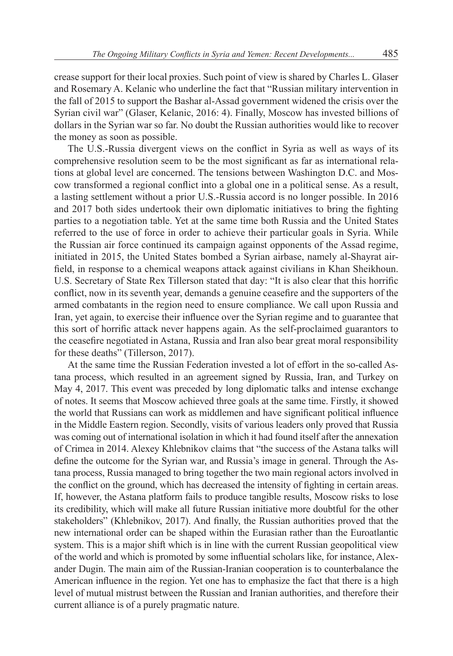crease support for their local proxies. Such point of view is shared by Charles L. Glaser and Rosemary A. Kelanic who underline the fact that "Russian military intervention in the fall of 2015 to support the Bashar al-Assad government widened the crisis over the Syrian civil war" (Glaser, Kelanic, 2016: 4). Finally, Moscow has invested billions of dollars in the Syrian war so far. No doubt the Russian authorities would like to recover the money as soon as possible.

The U.S.-Russia divergent views on the conflict in Syria as well as ways of its comprehensive resolution seem to be the most significant as far as international relations at global level are concerned. The tensions between Washington D.C. and Moscow transformed a regional conflict into a global one in a political sense. As a result, a lasting settlement without a prior U.S.-Russia accord is no longer possible. In 2016 and 2017 both sides undertook their own diplomatic initiatives to bring the fighting parties to a negotiation table. Yet at the same time both Russia and the United States referred to the use of force in order to achieve their particular goals in Syria. While the Russian air force continued its campaign against opponents of the Assad regime, initiated in 2015, the United States bombed a Syrian airbase, namely al-Shayrat airfield, in response to a chemical weapons attack against civilians in Khan Sheikhoun. U.S. Secretary of State Rex Tillerson stated that day: "It is also clear that this horrific conflict, now in its seventh year, demands a genuine ceasefire and the supporters of the armed combatants in the region need to ensure compliance. We call upon Russia and Iran, yet again, to exercise their influence over the Syrian regime and to guarantee that this sort of horrific attack never happens again. As the self-proclaimed guarantors to the ceasefire negotiated in Astana, Russia and Iran also bear great moral responsibility for these deaths" (Tillerson, 2017).

At the same time the Russian Federation invested a lot of effort in the so-called Astana process, which resulted in an agreement signed by Russia, Iran, and Turkey on May 4, 2017. This event was preceded by long diplomatic talks and intense exchange of notes. It seems that Moscow achieved three goals at the same time. Firstly, it showed the world that Russians can work as middlemen and have significant political influence in the Middle Eastern region. Secondly, visits of various leaders only proved that Russia was coming out of international isolation in which it had found itself after the annexation of Crimea in 2014. Alexey Khlebnikov claims that "the success of the Astana talks will define the outcome for the Syrian war, and Russia's image in general. Through the Astana process, Russia managed to bring together the two main regional actors involved in the conflict on the ground, which has decreased the intensity of fighting in certain areas. If, however, the Astana platform fails to produce tangible results, Moscow risks to lose its credibility, which will make all future Russian initiative more doubtful for the other stakeholders" (Khlebnikov, 2017). And finally, the Russian authorities proved that the new international order can be shaped within the Eurasian rather than the Euroatlantic system. This is a major shift which is in line with the current Russian geopolitical view of the world and which is promoted by some influential scholars like, for instance, Alexander Dugin. The main aim of the Russian-Iranian cooperation is to counterbalance the American influence in the region. Yet one has to emphasize the fact that there is a high level of mutual mistrust between the Russian and Iranian authorities, and therefore their current alliance is of a purely pragmatic nature.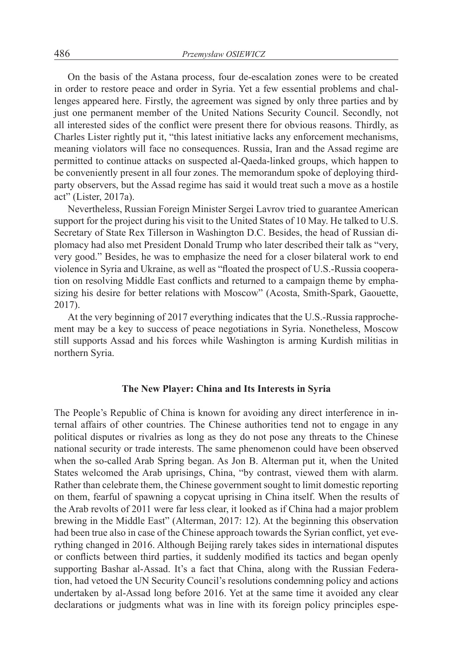On the basis of the Astana process, four de-escalation zones were to be created in order to restore peace and order in Syria. Yet a few essential problems and challenges appeared here. Firstly, the agreement was signed by only three parties and by just one permanent member of the United Nations Security Council. Secondly, not all interested sides of the conflict were present there for obvious reasons. Thirdly, as Charles Lister rightly put it, "this latest initiative lacks any enforcement mechanisms, meaning violators will face no consequences. Russia, Iran and the Assad regime are permitted to continue attacks on suspected al-Qaeda-linked groups, which happen to be conveniently present in all four zones. The memorandum spoke of deploying thirdparty observers, but the Assad regime has said it would treat such a move as a hostile act" (Lister, 2017a).

Nevertheless, Russian Foreign Minister Sergei Lavrov tried to guarantee American support for the project during his visit to the United States of 10 May. He talked to U.S. Secretary of State Rex Tillerson in Washington D.C. Besides, the head of Russian diplomacy had also met President Donald Trump who later described their talk as "very, very good." Besides, he was to emphasize the need for a closer bilateral work to end violence in Syria and Ukraine, as well as "floated the prospect of U.S.-Russia cooperation on resolving Middle East conflicts and returned to a campaign theme by emphasizing his desire for better relations with Moscow" (Acosta, Smith-Spark, Gaouette, 2017).

At the very beginning of 2017 everything indicates that the U.S.-Russia rapprochement may be a key to success of peace negotiations in Syria. Nonetheless, Moscow still supports Assad and his forces while Washington is arming Kurdish militias in northern Syria.

# **The New Player: China and Its Interests in Syria**

The People's Republic of China is known for avoiding any direct interference in internal affairs of other countries. The Chinese authorities tend not to engage in any political disputes or rivalries as long as they do not pose any threats to the Chinese national security or trade interests. The same phenomenon could have been observed when the so-called Arab Spring began. As Jon B. Alterman put it, when the United States welcomed the Arab uprisings, China, "by contrast, viewed them with alarm. Rather than celebrate them, the Chinese government sought to limit domestic reporting on them, fearful of spawning a copycat uprising in China itself. When the results of the Arab revolts of 2011 were far less clear, it looked as if China had a major problem brewing in the Middle East" (Alterman, 2017: 12). At the beginning this observation had been true also in case of the Chinese approach towards the Syrian conflict, yet everything changed in 2016. Although Beijing rarely takes sides in international disputes or conflicts between third parties, it suddenly modified its tactics and began openly supporting Bashar al-Assad. It's a fact that China, along with the Russian Federation, had vetoed the UN Security Council's resolutions condemning policy and actions undertaken by al-Assad long before 2016. Yet at the same time it avoided any clear declarations or judgments what was in line with its foreign policy principles espe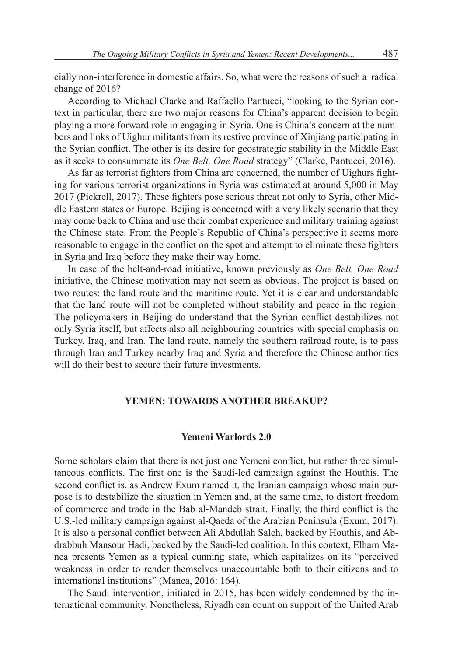cially non-interference in domestic affairs. So, what were the reasons of such a radical change of 2016?

According to Michael Clarke and Raffaello Pantucci, "looking to the Syrian context in particular, there are two major reasons for China's apparent decision to begin playing a more forward role in engaging in Syria. One is China's concern at the numbers and links of Uighur militants from its restive province of Xinjiang participating in the Syrian conflict. The other is its desire for geostrategic stability in the Middle East as it seeks to consummate its *One Belt, One Road* strategy" (Clarke, Pantucci, 2016).

As far as terrorist fighters from China are concerned, the number of Uighurs fighting for various terrorist organizations in Syria was estimated at around 5,000 in May 2017 (Pickrell, 2017). These fighters pose serious threat not only to Syria, other Middle Eastern states or Europe. Beijing is concerned with a very likely scenario that they may come back to China and use their combat experience and military training against the Chinese state. From the People's Republic of China's perspective it seems more reasonable to engage in the conflict on the spot and attempt to eliminate these fighters in Syria and Iraq before they make their way home.

In case of the belt-and-road initiative, known previously as *One Belt, One Road* initiative, the Chinese motivation may not seem as obvious. The project is based on two routes: the land route and the maritime route. Yet it is clear and understandable that the land route will not be completed without stability and peace in the region. The policymakers in Beijing do understand that the Syrian conflict destabilizes not only Syria itself, but affects also all neighbouring countries with special emphasis on Turkey, Iraq, and Iran. The land route, namely the southern railroad route, is to pass through Iran and Turkey nearby Iraq and Syria and therefore the Chinese authorities will do their best to secure their future investments.

# **YEMEN: TOWARDS ANOTHER BREAKUP?**

# **Yemeni Warlords 2.0**

Some scholars claim that there is not just one Yemeni conflict, but rather three simultaneous conflicts. The first one is the Saudi-led campaign against the Houthis. The second conflict is, as Andrew Exum named it, the Iranian campaign whose main purpose is to destabilize the situation in Yemen and, at the same time, to distort freedom of commerce and trade in the Bab al-Mandeb strait. Finally, the third conflict is the U.S.-led military campaign against al-Qaeda of the Arabian Peninsula (Exum, 2017). It is also a personal conflict between Ali Abdullah Saleh, backed by Houthis, and Abdrabbuh Mansour Hadi, backed by the Saudi-led coalition. In this context, Elham Manea presents Yemen as a typical cunning state, which capitalizes on its "perceived weakness in order to render themselves unaccountable both to their citizens and to international institutions" (Manea, 2016: 164).

The Saudi intervention, initiated in 2015, has been widely condemned by the international community. Nonetheless, Riyadh can count on support of the United Arab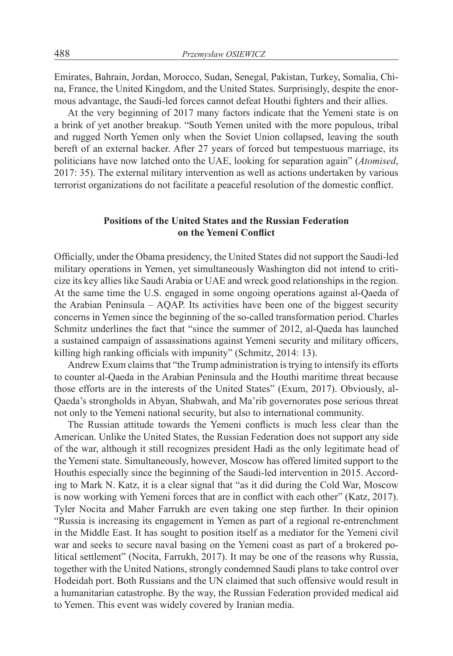Emirates, Bahrain, Jordan, Morocco, Sudan, Senegal, Pakistan, Turkey, Somalia, China, France, the United Kingdom, and the United States. Surprisingly, despite the enormous advantage, the Saudi-led forces cannot defeat Houthi fighters and their allies.

At the very beginning of 2017 many factors indicate that the Yemeni state is on a brink of yet another breakup. "South Yemen united with the more populous, tribal and rugged North Yemen only when the Soviet Union collapsed, leaving the south bereft of an external backer. After 27 years of forced but tempestuous marriage, its politicians have now latched onto the UAE, looking for separation again" (*Atomised*, 2017: 35). The external military intervention as well as actions undertaken by various terrorist organizations do not facilitate a peaceful resolution of the domestic conflict.

# **Positions of the United States and the Russian Federation on the Yemeni Conflict**

Officially, under the Obama presidency, the United States did not support the Saudi-led military operations in Yemen, yet simultaneously Washington did not intend to criticize its key allies like Saudi Arabia or UAE and wreck good relationships in the region. At the same time the U.S. engaged in some ongoing operations against al-Qaeda of the Arabian Peninsula – AQAP. Its activities have been one of the biggest security concerns in Yemen since the beginning of the so-called transformation period. Charles Schmitz underlines the fact that "since the summer of 2012, al-Qaeda has launched a sustained campaign of assassinations against Yemeni security and military officers, killing high ranking officials with impunity" (Schmitz, 2014: 13).

Andrew Exum claims that "the Trump administration is trying to intensify its efforts to counter al-Qaeda in the Arabian Peninsula and the Houthi maritime threat because those efforts are in the interests of the United States" (Exum, 2017). Obviously, al-Qaeda's strongholds in Abyan, Shabwah, and Ma'rib governorates pose serious threat not only to the Yemeni national security, but also to international community.

The Russian attitude towards the Yemeni conflicts is much less clear than the American. Unlike the United States, the Russian Federation does not support any side of the war, although it still recognizes president Hadi as the only legitimate head of the Yemeni state. Simultaneously, however, Moscow has offered limited support to the Houthis especially since the beginning of the Saudi-led intervention in 2015. According to Mark N. Katz, it is a clear signal that "as it did during the Cold War, Moscow is now working with Yemeni forces that are in conflict with each other" (Katz, 2017). Tyler Nocita and Maher Farrukh are even taking one step further. In their opinion "Russia is increasing its engagement in Yemen as part of a regional re-entrenchment in the Middle East. It has sought to position itself as a mediator for the Yemeni civil war and seeks to secure naval basing on the Yemeni coast as part of a brokered political settlement" (Nocita, Farrukh, 2017). It may be one of the reasons why Russia, together with the United Nations, strongly condemned Saudi plans to take control over Hodeidah port. Both Russians and the UN claimed that such offensive would result in a humanitarian catastrophe. By the way, the Russian Federation provided medical aid to Yemen. This event was widely covered by Iranian media.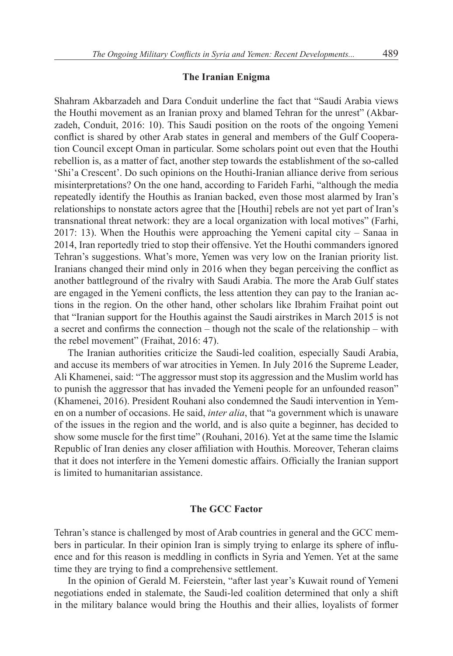#### **The Iranian Enigma**

Shahram Akbarzadeh and Dara Conduit underline the fact that "Saudi Arabia views the Houthi movement as an Iranian proxy and blamed Tehran for the unrest" (Akbarzadeh, Conduit, 2016: 10). This Saudi position on the roots of the ongoing Yemeni conflict is shared by other Arab states in general and members of the Gulf Cooperation Council except Oman in particular. Some scholars point out even that the Houthi rebellion is, as a matter of fact, another step towards the establishment of the so-called 'Shi'a Crescent'. Do such opinions on the Houthi-Iranian alliance derive from serious misinterpretations? On the one hand, according to Farideh Farhi, "although the media repeatedly identify the Houthis as Iranian backed, even those most alarmed by Iran's relationships to nonstate actors agree that the [Houthi] rebels are not yet part of Iran's transnational threat network: they are a local organization with local motives" (Farhi, 2017: 13). When the Houthis were approaching the Yemeni capital city – Sanaa in 2014, Iran reportedly tried to stop their offensive. Yet the Houthi commanders ignored Tehran's suggestions. What's more, Yemen was very low on the Iranian priority list. Iranians changed their mind only in 2016 when they began perceiving the conflict as another battleground of the rivalry with Saudi Arabia. The more the Arab Gulf states are engaged in the Yemeni conflicts, the less attention they can pay to the Iranian actions in the region. On the other hand, other scholars like Ibrahim Fraihat point out that "Iranian support for the Houthis against the Saudi airstrikes in March 2015 is not a secret and confirms the connection – though not the scale of the relationship – with the rebel movement" (Fraihat, 2016: 47).

The Iranian authorities criticize the Saudi-led coalition, especially Saudi Arabia, and accuse its members of war atrocities in Yemen. In July 2016 the Supreme Leader, Ali Khamenei, said: "The aggressor must stop its aggression and the Muslim world has to punish the aggressor that has invaded the Yemeni people for an unfounded reason" (Khamenei, 2016). President Rouhani also condemned the Saudi intervention in Yemen on a number of occasions. He said, *inter alia*, that "a government which is unaware of the issues in the region and the world, and is also quite a beginner, has decided to show some muscle for the first time" (Rouhani, 2016). Yet at the same time the Islamic Republic of Iran denies any closer affiliation with Houthis. Moreover, Teheran claims that it does not interfere in the Yemeni domestic affairs. Officially the Iranian support is limited to humanitarian assistance.

# **The GCC Factor**

Tehran's stance is challenged by most of Arab countries in general and the GCC members in particular. In their opinion Iran is simply trying to enlarge its sphere of influence and for this reason is meddling in conflicts in Syria and Yemen. Yet at the same time they are trying to find a comprehensive settlement.

In the opinion of Gerald M. Feierstein, "after last year's Kuwait round of Yemeni negotiations ended in stalemate, the Saudi-led coalition determined that only a shift in the military balance would bring the Houthis and their allies, loyalists of former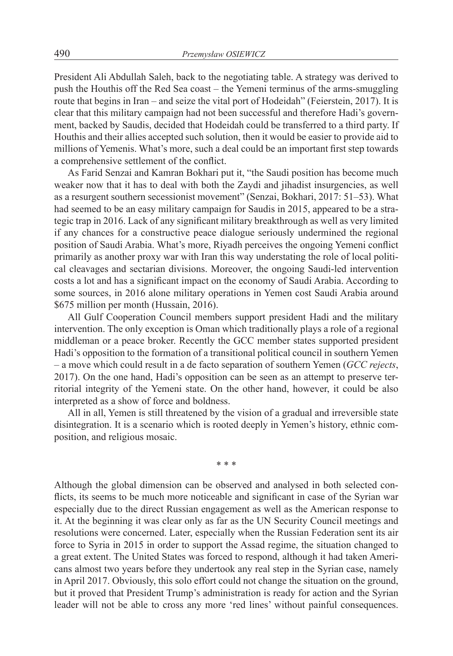President Ali Abdullah Saleh, back to the negotiating table. A strategy was derived to push the Houthis off the Red Sea coast – the Yemeni terminus of the arms-smuggling route that begins in Iran – and seize the vital port of Hodeidah" (Feierstein, 2017). It is clear that this military campaign had not been successful and therefore Hadi's government, backed by Saudis, decided that Hodeidah could be transferred to a third party. If Houthis and their allies accepted such solution, then it would be easier to provide aid to millions of Yemenis. What's more, such a deal could be an important first step towards a comprehensive settlement of the conflict.

As Farid Senzai and Kamran Bokhari put it, "the Saudi position has become much weaker now that it has to deal with both the Zaydi and jihadist insurgencies, as well as a resurgent southern secessionist movement" (Senzai, Bokhari, 2017: 51–53). What had seemed to be an easy military campaign for Saudis in 2015, appeared to be a strategic trap in 2016. Lack of any significant military breakthrough as well as very limited if any chances for a constructive peace dialogue seriously undermined the regional position of Saudi Arabia. What's more, Riyadh perceives the ongoing Yemeni conflict primarily as another proxy war with Iran this way understating the role of local political cleavages and sectarian divisions. Moreover, the ongoing Saudi-led intervention costs a lot and has a significant impact on the economy of Saudi Arabia. According to some sources, in 2016 alone military operations in Yemen cost Saudi Arabia around \$675 million per month (Hussain, 2016).

All Gulf Cooperation Council members support president Hadi and the military intervention. The only exception is Oman which traditionally plays a role of a regional middleman or a peace broker. Recently the GCC member states supported president Hadi's opposition to the formation of a transitional political council in southern Yemen – a move which could result in a de facto separation of southern Yemen (*GCC rejects*, 2017). On the one hand, Hadi's opposition can be seen as an attempt to preserve territorial integrity of the Yemeni state. On the other hand, however, it could be also interpreted as a show of force and boldness.

All in all, Yemen is still threatened by the vision of a gradual and irreversible state disintegration. It is a scenario which is rooted deeply in Yemen's history, ethnic composition, and religious mosaic.

\* \* \*

Although the global dimension can be observed and analysed in both selected conflicts, its seems to be much more noticeable and significant in case of the Syrian war especially due to the direct Russian engagement as well as the American response to it. At the beginning it was clear only as far as the UN Security Council meetings and resolutions were concerned. Later, especially when the Russian Federation sent its air force to Syria in 2015 in order to support the Assad regime, the situation changed to a great extent. The United States was forced to respond, although it had taken Americans almost two years before they undertook any real step in the Syrian case, namely in April 2017. Obviously, this solo effort could not change the situation on the ground, but it proved that President Trump's administration is ready for action and the Syrian leader will not be able to cross any more 'red lines' without painful consequences.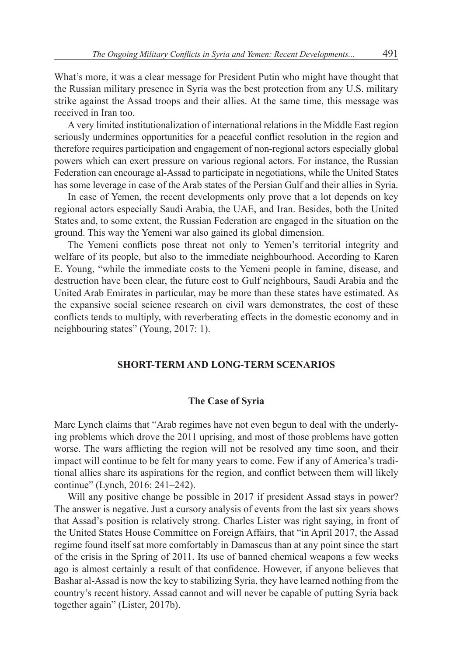What's more, it was a clear message for President Putin who might have thought that the Russian military presence in Syria was the best protection from any U.S. military strike against the Assad troops and their allies. At the same time, this message was received in Iran too.

A very limited institutionalization of international relations in the Middle East region seriously undermines opportunities for a peaceful conflict resolution in the region and therefore requires participation and engagement of non-regional actors especially global powers which can exert pressure on various regional actors. For instance, the Russian Federation can encourage al-Assad to participate in negotiations, while the United States has some leverage in case of the Arab states of the Persian Gulf and their allies in Syria.

In case of Yemen, the recent developments only prove that a lot depends on key regional actors especially Saudi Arabia, the UAE, and Iran. Besides, both the United States and, to some extent, the Russian Federation are engaged in the situation on the ground. This way the Yemeni war also gained its global dimension.

The Yemeni conflicts pose threat not only to Yemen's territorial integrity and welfare of its people, but also to the immediate neighbourhood. According to Karen E. Young, "while the immediate costs to the Yemeni people in famine, disease, and destruction have been clear, the future cost to Gulf neighbours, Saudi Arabia and the United Arab Emirates in particular, may be more than these states have estimated. As the expansive social science research on civil wars demonstrates, the cost of these conflicts tends to multiply, with reverberating effects in the domestic economy and in neighbouring states" (Young, 2017: 1).

# **SHORT-TERM AND LONG-TERM SCENARIOS**

## **The Case of Syria**

Marc Lynch claims that "Arab regimes have not even begun to deal with the underlying problems which drove the 2011 uprising, and most of those problems have gotten worse. The wars afflicting the region will not be resolved any time soon, and their impact will continue to be felt for many years to come. Few if any of America's traditional allies share its aspirations for the region, and conflict between them will likely continue" (Lynch, 2016: 241–242).

Will any positive change be possible in 2017 if president Assad stays in power? The answer is negative. Just a cursory analysis of events from the last six years shows that Assad's position is relatively strong. Charles Lister was right saying, in front of the United States House Committee on Foreign Affairs, that "in April 2017, the Assad regime found itself sat more comfortably in Damascus than at any point since the start of the crisis in the Spring of 2011. Its use of banned chemical weapons a few weeks ago is almost certainly a result of that confidence. However, if anyone believes that Bashar al-Assad is now the key to stabilizing Syria, they have learned nothing from the country's recent history. Assad cannot and will never be capable of putting Syria back together again" (Lister, 2017b).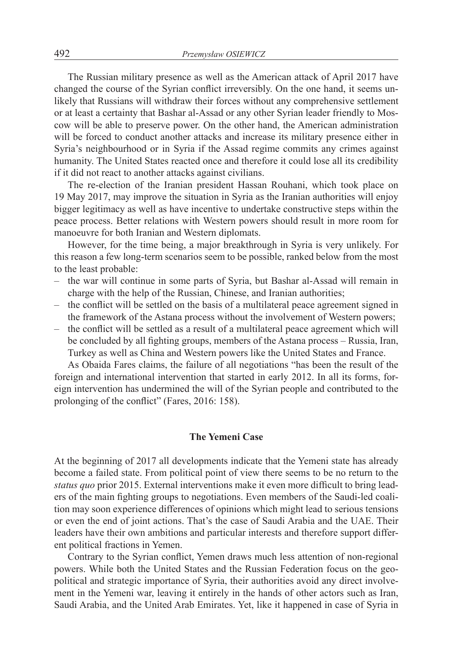The Russian military presence as well as the American attack of April 2017 have changed the course of the Syrian conflict irreversibly. On the one hand, it seems unlikely that Russians will withdraw their forces without any comprehensive settlement or at least a certainty that Bashar al-Assad or any other Syrian leader friendly to Moscow will be able to preserve power. On the other hand, the American administration will be forced to conduct another attacks and increase its military presence either in Syria's neighbourhood or in Syria if the Assad regime commits any crimes against humanity. The United States reacted once and therefore it could lose all its credibility if it did not react to another attacks against civilians.

The re-election of the Iranian president Hassan Rouhani, which took place on 19 May 2017, may improve the situation in Syria as the Iranian authorities will enjoy bigger legitimacy as well as have incentive to undertake constructive steps within the peace process. Better relations with Western powers should result in more room for manoeuvre for both Iranian and Western diplomats.

However, for the time being, a major breakthrough in Syria is very unlikely. For this reason a few long-term scenarios seem to be possible, ranked below from the most to the least probable:

- the war will continue in some parts of Syria, but Bashar al-Assad will remain in charge with the help of the Russian, Chinese, and Iranian authorities;
- the conflict will be settled on the basis of a multilateral peace agreement signed in the framework of the Astana process without the involvement of Western powers;
- the conflict will be settled as a result of a multilateral peace agreement which will be concluded by all fighting groups, members of the Astana process – Russia, Iran, Turkey as well as China and Western powers like the United States and France.

As Obaida Fares claims, the failure of all negotiations "has been the result of the foreign and international intervention that started in early 2012. In all its forms, foreign intervention has undermined the will of the Syrian people and contributed to the prolonging of the conflict" (Fares, 2016: 158).

# **The Yemeni Case**

At the beginning of 2017 all developments indicate that the Yemeni state has already become a failed state. From political point of view there seems to be no return to the *status quo* prior 2015. External interventions make it even more difficult to bring leaders of the main fighting groups to negotiations. Even members of the Saudi-led coalition may soon experience differences of opinions which might lead to serious tensions or even the end of joint actions. That's the case of Saudi Arabia and the UAE. Their leaders have their own ambitions and particular interests and therefore support different political fractions in Yemen.

Contrary to the Syrian conflict, Yemen draws much less attention of non-regional powers. While both the United States and the Russian Federation focus on the geopolitical and strategic importance of Syria, their authorities avoid any direct involvement in the Yemeni war, leaving it entirely in the hands of other actors such as Iran, Saudi Arabia, and the United Arab Emirates. Yet, like it happened in case of Syria in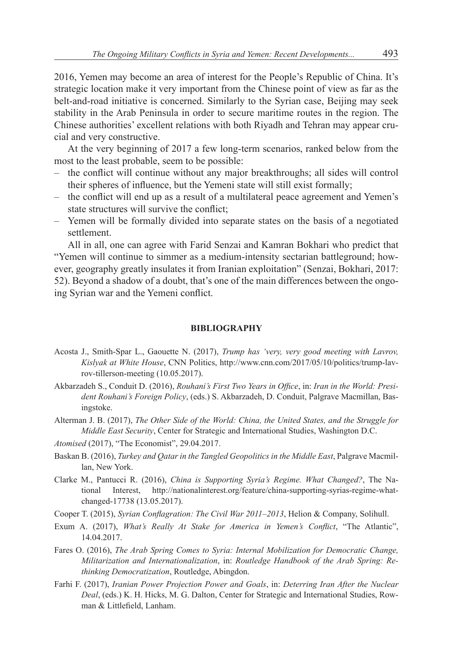2016, Yemen may become an area of interest for the People's Republic of China. It's strategic location make it very important from the Chinese point of view as far as the belt-and-road initiative is concerned. Similarly to the Syrian case, Beijing may seek stability in the Arab Peninsula in order to secure maritime routes in the region. The Chinese authorities' excellent relations with both Riyadh and Tehran may appear crucial and very constructive.

At the very beginning of 2017 a few long-term scenarios, ranked below from the most to the least probable, seem to be possible:

- the conflict will continue without any major breakthroughs; all sides will control their spheres of influence, but the Yemeni state will still exist formally;
- the conflict will end up as a result of a multilateral peace agreement and Yemen's state structures will survive the conflict;
- Yemen will be formally divided into separate states on the basis of a negotiated settlement.

All in all, one can agree with Farid Senzai and Kamran Bokhari who predict that "Yemen will continue to simmer as a medium-intensity sectarian battleground; however, geography greatly insulates it from Iranian exploitation" (Senzai, Bokhari, 2017: 52). Beyond a shadow of a doubt, that's one of the main differences between the ongoing Syrian war and the Yemeni conflict.

## **BIBLIOGRAPHY**

- Acosta J., Smith-Spar L., Gaouette N. (2017), *Trump has 'very, very good meeting with Lavrov, Kislyak at White House*, CNN Politics, http://www.cnn.com/2017/05/10/politics/trump-lavrov-tillerson-meeting (10.05.2017).
- Akbarzadeh S., Conduit D. (2016), *Rouhani's First Two Years in Office*, in: *Iran in the World: President Rouhani's Foreign Policy*, (eds.) S. Akbarzadeh, D. Conduit, Palgrave Macmillan, Basingstoke.
- Alterman J. B. (2017), *The Other Side of the World: China, the United States, and the Struggle for Middle East Security*, Center for Strategic and International Studies, Washington D.C.
- *Atomised* (2017), "The Economist", 29.04.2017.
- Baskan B. (2016), *Turkey and Qatar in the Tangled Geopolitics in the Middle East*, Palgrave Macmillan, New York.
- Clarke M., Pantucci R. (2016), *China is Supporting Syria's Regime. What Changed?*, The National Interest, http://nationalinterest.org/feature/china-supporting-syrias-regime-whatchanged-17738 (13.05.2017).
- Cooper T. (2015), *Syrian Conflagration: The Civil War 2011–2013*, Helion & Company, Solihull.
- Exum A. (2017), *What's Really At Stake for America in Yemen's Conflict*, "The Atlantic", 14.04.2017.
- Fares O. (2016), *The Arab Spring Comes to Syria: Internal Mobilization for Democratic Change, Militarization and Internationalization*, in: *Routledge Handbook of the Arab Spring: Rethinking Democratization*, Routledge, Abingdon.
- Farhi F. (2017), *Iranian Power Projection Power and Goals*, in: *Deterring Iran After the Nuclear Deal*, (eds.) K. H. Hicks, M. G. Dalton, Center for Strategic and International Studies, Rowman & Littlefield, Lanham.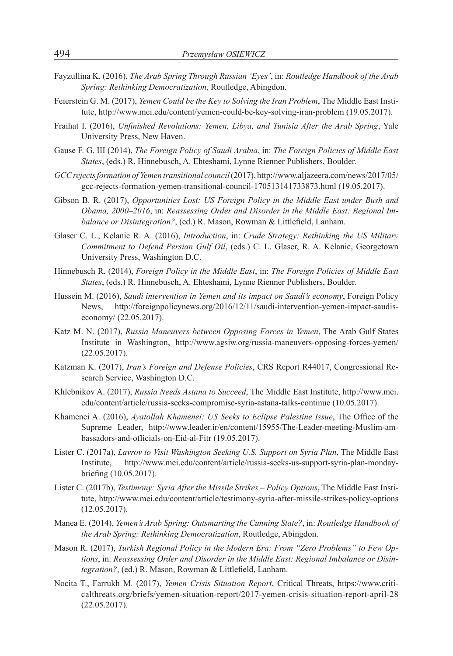- Fayzullina K. (2016), *The Arab Spring Through Russian 'Eyes'*, in: *Routledge Handbook of the Arab Spring: Rethinking Democratization*, Routledge, Abingdon.
- Feierstein G. M. (2017), *Yemen Could be the Key to Solving the Iran Problem*, The Middle East Institute, http://www.mei.edu/content/yemen-could-be-key-solving-iran-problem (19.05.2017).
- Fraihat I. (2016), *Unfinished Revolutions: Yemen, Libya, and Tunisia After the Arab Spring*, Yale University Press, New Haven.
- Gause F. G. III (2014), *The Foreign Policy of Saudi Arabia*, in: *The Foreign Policies of Middle East States*, (eds.) R. Hinnebusch, A. Ehteshami, Lynne Rienner Publishers, Boulder.
- *GCCrejectsformation ofYemen transitional council* (2017), http://www.aljazeera.com/news/2017/05/ gcc-rejects-formation-yemen-transitional-council-170513141733873.html (19.05.2017).
- Gibson B. R. (2017), *Opportunities Lost: US Foreign Policy in the Middle East under Bush and Obama, 2000–2016*, in: *Reassessing Order and Disorder in the Middle East: Regional Imbalance or Disintegration?*, (ed.) R. Mason, Rowman & Littlefield, Lanham.
- Glaser C. L., Kelanic R. A. (2016), *Introduction*, in: *Crude Strategy: Rethinking the US Military Commitment to Defend Persian Gulf Oil*, (eds.) C. L. Glaser, R. A. Kelanic, Georgetown University Press, Washington D.C.
- Hinnebusch R. (2014), *Foreign Policy in the Middle East*, in: *The Foreign Policies of Middle East States*, (eds.) R. Hinnebusch, A. Ehteshami, Lynne Rienner Publishers, Boulder.
- Hussein M. (2016), *Saudi intervention in Yemen and its impact on Saudi's economy*, Foreign Policy News, http://foreignpolicynews.org/2016/12/11/saudi-intervention-yemen-impact-saudiseconomy/ (22.05.2017).
- Katz M. N. (2017), *Russia Maneuvers between Opposing Forces in Yemen*, The Arab Gulf States Institute in Washington, http://www.agsiw.org/russia-maneuvers-opposing-forces-yemen/ (22.05.2017).
- Katzman K. (2017), *Iran's Foreign and Defense Policies*, CRS Report R44017, Congressional Research Service, Washington D.C.
- Khlebnikov A. (2017), *Russia Needs Astana to Succeed*, The Middle East Institute, http://www.mei. edu/content/article/russia-seeks-compromise-syria-astana-talks-continue (10.05.2017).
- Khamenei A. (2016), *Ayatollah Khamenei: US Seeks to Eclipse Palestine Issue*, The Office of the Supreme Leader, http://www.leader.ir/en/content/15955/The-Leader-meeting-Muslim-ambassadors-and-officials-on-Eid-al-Fitr (19.05.2017).
- Lister C. (2017a), *Lavrov to Visit Washington Seeking U.S. Support on Syria Plan*, The Middle East Institute, http://www.mei.edu/content/article/russia-seeks-us-support-syria-plan-mondaybriefing (10.05.2017).
- Lister C. (2017b), *Testimony: Syria After the Missile Strikes – Policy Options*, The Middle East Institute, http://www.mei.edu/content/article/testimony-syria-after-missile-strikes-policy-options (12.05.2017).
- Manea E. (2014), *Yemen's Arab Spring: Outsmarting the Cunning State?*, in: *Routledge Handbook of the Arab Spring: Rethinking Democratization*, Routledge, Abingdon.
- Mason R. (2017), *Turkish Regional Policy in the Modern Era: From "Zero Problems" to Few Options*, in: *Reassessing Order and Disorder in the Middle East: Regional Imbalance or Disintegration?*, (ed.) R. Mason, Rowman & Littlefield, Lanham.
- Nocita T., Farrukh M. (2017), *Yemen Crisis Situation Report*, Critical Threats, https://www.criticalthreats.org/briefs/yemen-situation-report/2017-yemen-crisis-situation-report-april-28 (22.05.2017).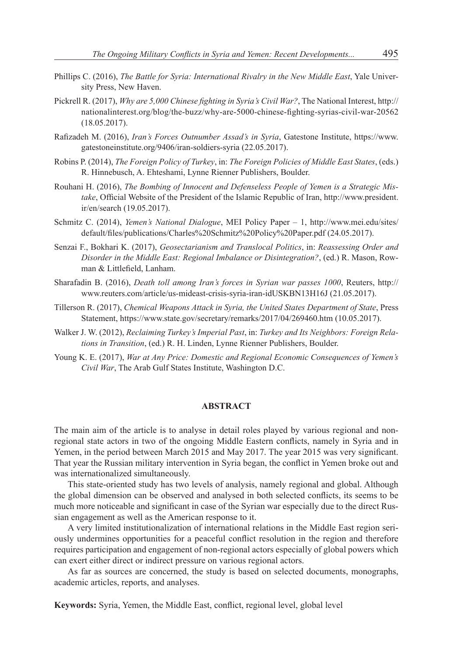- Phillips C. (2016), *The Battle for Syria: International Rivalry in the New Middle East*, Yale University Press, New Haven.
- Pickrell R. (2017), *Why are 5,000 Chinese fighting in Syria's Civil War?*, The National Interest, http:// nationalinterest.org/blog/the-buzz/why-are-5000-chinese-fighting-syrias-civil-war-20562 (18.05.2017).
- Rafizadeh M. (2016), *Iran's Forces Outnumber Assad's in Syria*, Gatestone Institute, https://www. gatestoneinstitute.org/9406/iran-soldiers-syria (22.05.2017).
- Robins P. (2014), *The Foreign Policy of Turkey*, in: *The Foreign Policies of Middle East States*, (eds.) R. Hinnebusch, A. Ehteshami, Lynne Rienner Publishers, Boulder.
- Rouhani H. (2016), *The Bombing of Innocent and Defenseless People of Yemen is a Strategic Mistake*, Official Website of the President of the Islamic Republic of Iran, http://www.president. ir/en/search (19.05.2017).
- Schmitz C. (2014), *Yemen's National Dialogue*, MEI Policy Paper 1, http://www.mei.edu/sites/ default/files/publications/Charles%20Schmitz%20Policy%20Paper.pdf (24.05.2017).
- Senzai F., Bokhari K. (2017), *Geosectarianism and Translocal Politics*, in: *Reassessing Order and Disorder in the Middle East: Regional Imbalance or Disintegration?*, (ed.) R. Mason, Rowman & Littlefield, Lanham.
- Sharafadin B. (2016), *Death toll among Iran's forces in Syrian war passes 1000*, Reuters, http:// www.reuters.com/article/us-mideast-crisis-syria-iran-idUSKBN13H16J (21.05.2017).
- Tillerson R. (2017), *Chemical Weapons Attack in Syria, the United States Department of State*, Press Statement, https://www.state.gov/secretary/remarks/2017/04/269460.htm (10.05.2017).
- Walker J. W. (2012), *Reclaiming Turkey's Imperial Past*, in: *Turkey and Its Neighbors: Foreign Relations in Transition*, (ed.) R. H. Linden, Lynne Rienner Publishers, Boulder.
- Young K. E. (2017), *War at Any Price: Domestic and Regional Economic Consequences of Yemen's Civil War*, The Arab Gulf States Institute, Washington D.C.

## **ABSTRACT**

The main aim of the article is to analyse in detail roles played by various regional and nonregional state actors in two of the ongoing Middle Eastern conflicts, namely in Syria and in Yemen, in the period between March 2015 and May 2017. The year 2015 was very significant. That year the Russian military intervention in Syria began, the conflict in Yemen broke out and was internationalized simultaneously.

This state-oriented study has two levels of analysis, namely regional and global. Although the global dimension can be observed and analysed in both selected conflicts, its seems to be much more noticeable and significant in case of the Syrian war especially due to the direct Russian engagement as well as the American response to it.

A very limited institutionalization of international relations in the Middle East region seriously undermines opportunities for a peaceful conflict resolution in the region and therefore requires participation and engagement of non-regional actors especially of global powers which can exert either direct or indirect pressure on various regional actors.

As far as sources are concerned, the study is based on selected documents, monographs, academic articles, reports, and analyses.

**Keywords:** Syria, Yemen, the Middle East, conflict, regional level, global level